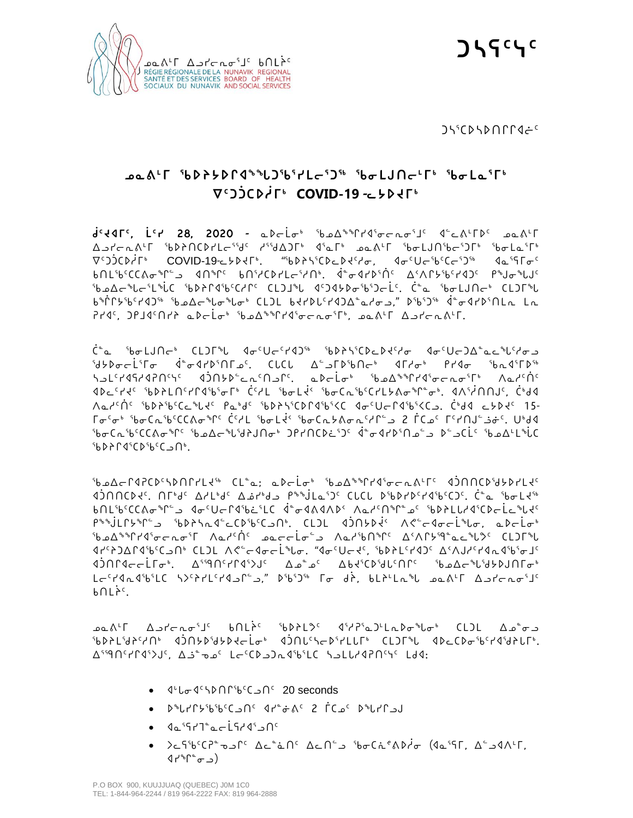

ᑐᓴᕐᑕᐅᓴᐅᑎᒋᒋᐊᓖᑦ

## **ᓄᓇᕕᒻᒥ ᖃᐅᔨᔭᐅᒋᐊᖕᖓᑐᖃᕐᓯᒪᓕᕐᑐᖅ ᖃᓂᒪᒍᑎᓕᒻᒥᒃ ᖃᓂᒪᓇᕐᒥᒃ ᐁᑦᑐᑑᑕᐅᓲᒥᒃ COVID-19 -ᓚᔭᐅᔪᒥᒃ**

**ᑰᑦᔪᐊᒥᑦ, ᒫᑦᓯ 28, 2020 -** ᓇᐅᓕᒫᓂᒃ ᖃᓄᐃᖕᖏᓯᐊᕐᓂᓕᕆᓂᕐᒧᑦ ᐊᓪᓚᕕᒻᒥᐅᑦ ᓄᓇᕕᒻᒥ ᐃᓗᓯᓕᕆᕕᒻᒥ ᖃᐅᔨᑎᑕᐅᓯᒪᓕᕐᖁᑦ ᓱᕐᖁᐃᑐᒥᒃ ᐊᕐᓇᒥᒃ ᓄᓇᕕᒻᒥ ᖃᓂᒪᒍᑎᖃᓕᕐᑐᒥᒃ ᖃᓂᒪᓇᕐᒥᒃ ᐁᑦᑐᑑᑕᐅᓲᒥᒃ COVID-19-ᓚᔭᐅᔪᒥᒃ. "ᖃᐅᔨᓴᕐᑕᐅᓚᐅᔪᑦᓱᓂ, ᐊᓂᑦᑌᓕᖃᑦᑕᓕᕐᑐᖅ ᐊᓇᕐᕋᒥᓂᑦ ᑲᑎᒪᖃᑦᑕᑕᕕᓂᖏᓪᓗ ᐊᑎᖏᑦ ᑲᑎᕐᓱᑕᐅᓯᒪᓕᕐᓱᑎᒃ. ᐋᓐᓂᐊᓯᐅᕐᑏᑦ ᐃᑉᐱᒋᔭᖃᑦᓯᐊᑐᑦ ᑭᖑᓂᖓᒍᑦ ᖃᓄᐃᓕᖓᓕᕐᒪᖔᑕ ᖃᐅᔨᒋᐊᖃᑦᑕᓱᒋᑦ ᑕᒪᑐᒧᖓ ᐊᑦᑐᐊᔭᐅᓂᖃᕐᑐᓕᒫᑦ. ᑖᓐᓇ ᖃᓂᒪᒍᑎᓕᒃ ᑕᒪᑐᒥᖓ ᑲᖐᒋᔭᖃᑦᓯᐊᑐᖅ ᖃᓄᐃᓕᖓᓂᖓᓂᒃ ᑕᒪᑐᒪ ᑲᔪᓯᐅᒐᑦᓯᐊᑐᐃᓐᓇᓱᓂᓗ," ᐅᖃᕐᑐᖅ ᐋᓐᓂᐊᓯᐅᕐᑎᒪᕆ ᒪᕆ ᕈᓯᐊᑦ, ᑐᑭᒧᐊᑦᑎᓯᔨ ᓇᐅᓕᒫᓂᒃ ᖃᓄᐃᖕᖏᓯᐊᕐᓂᓕᕆᓂᕐᒥᒃ, ᓄᓇᕕᒻᒥ ᐃᓗᓯᓕᕆᕕᒻᒥ.

ᑖᓐᓇ ᖃᓂᒪᒍᑎᓕᒃ ᑕᒪᑐᒥᖓ ᐊᓂᑦᑌᓕᑦᓯᐊᑐᖅ ᖃᐅᔨᓴᕐᑕᐅᓚᐅᔪᑦᓱᓂ ᐊᓂᑦᑌᓕᑐᐃᓐᓇᓚᖓᑦᓱᓂᓗ ᖁᔭᐅᓂᓕᒫᕐᒥᓂ ᐋᓐᓂᐊᓯᐅᕐᑎᒥᓄᑦ. ᑕᒐᑕᒐ ᐃᓪᓗᒥᐅᖃᑎᓕᒃ ᐊᒥᓱᓂᒃ ᑭᓯᐊᓂ ᖃᕆᐊᕐᒥᐅᖅ ᓴᓗᒪᑦᓯᐊᕋᓱᐊᕈᑎᑦᓭᑦ ᐊᑑᑎᔭᐅᓪᓚᕆᑦᑎᓗᒋᑦ. ᓇᐅᓕᒫᓂᒃ ᖃᓄᐃᖕᖏᓯᐊᕐᓂᓕᕆᓂᕐᒥᒃ ᐱᓇᓱᑦᑏᑦ ᐊᐅᓚᑦᓯᔪᑦ ᖃᐅᔨᒪᑎᑦᓯᒋᐊᖃᕐᓂᒥᒃ ᑖᑦᓱᒪ ᖃᓂᒪᔫᑉ ᖃᓂᑕᕆᖃᑦᑕᓯᒪᔭᕕᓂᖏᓐᓂᒃ. ᐊᐱᕐᓲᑎᑎᒍᑦ, ᑖᒃᑯᐊ ᐱᓇᓱᑦᑏᑦ ᖃᐅᔨᖃᑦᑕᓚᖓᔪᑦ ᑭᓇᒃᑯᑦ ᖃᐅᔨᓴᕐᑕᐅᒋᐊᖃᕐᐸᑕ ᐊᓂᑦᑌᓕᒋᐊᖃᕐᐸᑕᓗ. ᑖᒃᑯᐊ ᓚᔭᐅᔪᑦ 15- ᒥᓂᑦᓂᒃ ᖃᓂᑕᕆᖃᑦᑕᑕᕕᓂᖏᑦ ᑖᑦᓱᒪ ᖃᓂᒪᔫᑉ ᖃᓂᑕᕆᔭᕕᓂᕆᑦᓱᒋᓪᓗ 2 ᒦᑕᓄᑦ ᒥᑦᓯᑎᒍᓪᓘᓃᑦ. ᑌᒃᑯᐊ ᖃᓂᑕᕆᖃᑦᑕᑕᕕᓂᖏᑦ ᖃᓄᐃᓕᖓᖁᔨᒍᑎᓂᒃ ᑐᑭᓯᑎᑕᐅᓛᕐᑐᑦ ᐋᓐᓂᐊᓯᐅᕐᑎᓄᓪᓗ ᐅᓪᓗᑕᒫᑦ ᖃᓄᐃᒻᒪᖔᑕ ᖃᐅᔨᒋᐊᕐᑕᐅᖃᑦᑕᓗᑎᒃ.

ᖃᓄᐃᓕᒋᐊᕈᑕᐅᑦᓴᐅᑎᒋᓯᒪᔪᖅ ᑕᒪᓐᓇ; ᓇᐅᓕᒫᓂᒃ ᖃᓄᐃᖕᖏᓯᐊᕐᓂᓕᕆᕕᒻᒥᑦ ᐊᑑᑎᑎᑕᐅᖁᔭᐅᓯᒪᔪᑦ ᐊᑑᑎᑎᑕᐅᔪᑦ. ᑎᒥᒃᑯᑦ ᐃᓱᒪᒃᑯᑦ ᐃᓅᓯᒃᑯᓗ ᑭᖕᖒᒪᓇᕐᑐᑦ ᑕᒐᑕᒐ ᐅᖃᐅᓯᐅᑦᓯᐊᖃᑦᑕᑐᑦ. ᑖᓐᓇ ᖃᓂᒪᔪᖅ ᑲᑎᒪᖃᑦᑕᑕᕕᓂᖏᓪᓗ ᐊᓂᑦᑌᓕᒋᐊᖃᓛᕐᒪᑕ ᐋᓐᓂᐊᕕᐊᐱᐅᑉ ᐱᓇᓱᑦᑎᖏᓐᓄᑦ ᖃᐅᔨᒪᒐᓱᐊᕐᑕᐅᓕᒫᓚᖓᔪᑦ ᑭᖕᖒᒪᒋᔭᖏᓪᓗ ᖃᐅᔨᓴᕆᐊᓪᓚᑕᐅᖃᑦᑕᓗᑎᒃ. ᑕᒪᑐᒪ ᐊᑑᑎᔭᐅᔫᑉ ᐱᕙᓪᓕᐊᓂᓕᒫᖓᓂ, ᓇᐅᓕᒫᓂᒃ ᖃᓄᐃᖕᖏᓯᐊᕐᓂᓕᕆᓂᕐᒥ ᐱᓇᓱᑦᑏᑦ ᓄᓇᓕᓕᒫᓂᓪᓗ ᐱᓇᓱᖃᑎᖏᑦ ᐃᑉᐱᒋᔭᙯᓐᓇᓚᖓᕗᑦ ᑕᒪᑐᒥᖓ ᐊᓯᑦᔨᑐᐃᒋᐊᖃᑦᑕᓗᑎᒃ ᑕᒪᑐᒪ ᐱᕙᓪᓕᐊᓂᓕᒫᖓᓂ. "ᐊᓂᑦᑌᓕᔪᑦ, ᖃᐅᔨᒪᑦᓯᐊᑐᑦ ᐃᑉᐱᒍᓱᑦᓯᐊᕆᐊᖃᕐᓂᒧᑦ ᐊᑑᑎᒋᐊᓕᓕᒫᒥᓂᒃ. ᐃᕐᙯᑎᑦᓯᒋᐊᕐᐳᒍᑦ ᐃᓄᓐᓄᑦ ᐃᑲᔪᕐᑕᐅᖁᒐᑦᑎᒋᑦ ᖃᓄᐃᓕᖓᖁᔭᐅᒍᑎᒥᓂᒃ ᒪᓕᑦᓯᐊᕆᐊᖃᕐᒪᑕ ᓴᐳᑦᔨᓯᒪᑦᓯᐊᓗᒋᓪᓗ," ᐅᖃᕐᑐᖅ ᒥᓂ ᑯᔩ, ᑲᒪᔨᒻᒪᕆᖓ ᓄᓇᕕᒻᒥ ᐃᓗᓯᓕᕆᓂᕐᒧᑦ ⊾⊾j

ᓄᓇᕕᒻᒥ ᐃᓗᓯᓕᕆᓂᕐᒧᑦ ᑲᑎᒪᔩᑦ ᖃᐅᔨᒪᕗᑦ ᐊᕐᓱᕈᕐᓇᑐᒻᒪᕆᐅᓂᖓᓂᒃ ᑕᒪᑐᒪ ᐃᓄᓐᓂᓗ ᖃᐅᔨᒪᖁᔨᑦᓱᑎᒃ ᐊᑑᑎᔭᐅᖁᔭᐅᔪᓕᒫᓂᒃ ᐊᑑᑎᒐᑦᓴᓕᐅᕐᓯᒪᒐᒥᒃ ᑕᒪᑐᒥᖓ ᐊᐅᓚᑕᐅᓂᖃᑦᓯᐊᖁᔨᒐᒥᒃ. ᐃᕐᙯᑎᑦᓯᒋᐊᕐᐳᒍᑦ, ᐃᓘᓐᓀᓄᑦ ᒪᓕᑦᑕᐅᓗᑐᕆᐊᖃᕐᒪᑕ ᓴᓗᒪᒐᓱᐊᕈᑎᑦᓭᑦ ᒪᑯᐊ:

- ᐊᒡᒐᓂᐊᑦᓴᐅᑎᒋᖃᑦᑕᓗᑎᑦ 20 seconds
- ᐅᖓᓯᒋᔭᖃᖃᑦᑕᓗᑎᑦ ᐊᓯᓐᓃᕕᑦ 2 ᒦᑕᓄᑦ ᐅᖓᓯᒋᓗᒍ
- Icience de Serie •
- ᐳᓚᕋᖃᑦᑕᕈᓐᓀᓗᒋᑦ ᐃᓚᓐᓈᑎᑦ ᐃᓚᑎᓪᓗ ᖃᓂᑕᕇᕝᕕᐅᓲᓂ (ᐊᓇᕐᕋᒥ, ᐃᓪᓗᐊᐱᒻᒥ, ᐊᓯᖏᓐᓂᓗ)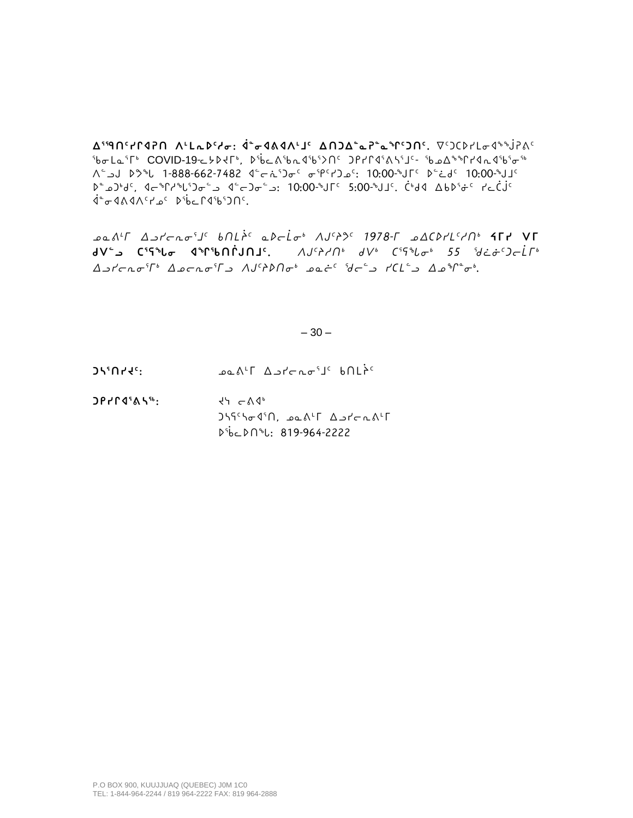**ᐃᕐᙯᑎᑦᓯᒋᐊᕈᑎ ᐱᒻᒪᕆᐅᑦᓱᓂ: ᐋᓐᓂᐊᕕᐊᐱᒻᒧᑦ ᐃᑎᑐᐃᓐᓇᕈᓐᓇᖏᑦᑐᑎᑦ.** ᐁᑦᑐᑕᐅᓯᒪᓂᐊᖕᖒᕈᕕᑦ ᖃᓂᒪᓇᕐᒥᒃ COVID-19-ᓚᔭᐅᔪᒥᒃ, ᐅᖄᓚᕕᖃᕆᐊᖃᕐᐳᑎᑦ ᑐᑭᓯᒋᐊᕐᕕᓴᕐᒧᑦ- ᖃᓄᐃᖕᖏᓯᐊᕆᐊᖃᕐᓂᖅ ᐱᓪᓗᒍ ᐅᕗᖓ 1-888-662-7482 ᐊᓪᓕᕇᕐᑐᓂᑦ ᓂᕿᑦᓯᑐᓄᑦ: 10:00-ᖑᒥᑦ ᐅᓪᓛᑯᑦ 10:00-ᖑᒧᑦ ᐅᓐᓄᑐᒃᑯᑦ, ᐊᓕᖏᓱᖓᕐᑐᓂᓪᓗ ᐊᓪᓕᑐᓂᓪᓗ: 10:00-ᖑᒥᑦ 5:00-ᖑᒧᑦ. ᑖᒃᑯᐊ ᐃᑲᐅᕐᓃᑦ ᓯᓚᑖᒎᑦ ᐋᓐᓂᐊᕕᐊᐱᑦᓯᓄᑦ ᐅᖄᓚᒋᐊᖃᕐᑐᑎᑦ.

*ᓄᓇᕕᒻᒥ ᐃᓗᓯᓕᕆᓂᕐᒧᑦ ᑲᑎᒪᔩᑦ ᓇᐅᓕᒫᓂᒃ ᐱᒍᑦᔨᕗᑦ 1978-ᒥ ᓄᐃᑕᐅᓯᒪᑦᓱᑎᒃ* **ᔦᒥᓯ ᐯᒥ ᑯᐯᓪᓗ ᑕᕐᕋᖓᓂ ᐊᖏᖃᑎᒌᒍᑎᒧᑦ.** *ᐱᒍᑦᔨᓱᑎᒃ ᑯᐯᒃ ᑕᕐᕋᖓᓂᒃ 55 ᖁᓛᓃᑦᑐᓕᒫᒥᒃ ᐃᓗᓯᓕᕆᓂᕐᒥᒃ ᐃᓄᓕᕆᓂᕐᒥᓗ ᐱᒍᑦᔨᐅᑎᓂᒃ ᓄᓇᓖᑦ ᖁᓕᓪᓗ ᓯᑕᒪᓪᓗ ᐃᓄᖏᓐᓂᒃ.*

## $-30-$

**ᑐᓴᕐᑎᓯᔪᑦ:** ᓄᓇᕕᒻᒥ ᐃᓗᓯᓕᕆᓂᕐᒧᑦ ᑲᑎᒪᔩᑦ

**ᑐᑭᓯᒋᐊᕐᕕᓴᖅ:** ᔪᓭ ᓕᕕᐊᒃ  $J\overline{J}\overline{J}\overline{J}\overline{J}\overline{J}\overline{J}$ ᐅᖄᓚᐅᑎᖓ: 819-964-2222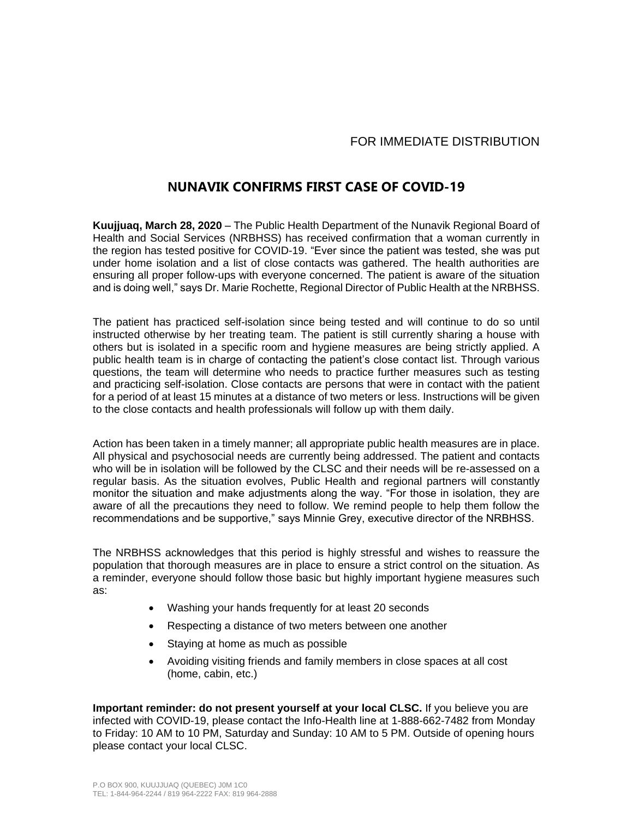## FOR IMMEDIATE DISTRIBUTION

## **NUNAVIK CONFIRMS FIRST CASE OF COVID-19**

**Kuujjuaq, March 28, 2020** – The Public Health Department of the Nunavik Regional Board of Health and Social Services (NRBHSS) has received confirmation that a woman currently in the region has tested positive for COVID-19. "Ever since the patient was tested, she was put under home isolation and a list of close contacts was gathered. The health authorities are ensuring all proper follow-ups with everyone concerned. The patient is aware of the situation and is doing well," says Dr. Marie Rochette, Regional Director of Public Health at the NRBHSS.

The patient has practiced self-isolation since being tested and will continue to do so until instructed otherwise by her treating team. The patient is still currently sharing a house with others but is isolated in a specific room and hygiene measures are being strictly applied. A public health team is in charge of contacting the patient's close contact list. Through various questions, the team will determine who needs to practice further measures such as testing and practicing self-isolation. Close contacts are persons that were in contact with the patient for a period of at least 15 minutes at a distance of two meters or less. Instructions will be given to the close contacts and health professionals will follow up with them daily.

Action has been taken in a timely manner; all appropriate public health measures are in place. All physical and psychosocial needs are currently being addressed. The patient and contacts who will be in isolation will be followed by the CLSC and their needs will be re-assessed on a regular basis. As the situation evolves, Public Health and regional partners will constantly monitor the situation and make adjustments along the way. "For those in isolation, they are aware of all the precautions they need to follow. We remind people to help them follow the recommendations and be supportive," says Minnie Grey, executive director of the NRBHSS.

The NRBHSS acknowledges that this period is highly stressful and wishes to reassure the population that thorough measures are in place to ensure a strict control on the situation. As a reminder, everyone should follow those basic but highly important hygiene measures such as:

- Washing your hands frequently for at least 20 seconds
- Respecting a distance of two meters between one another
- Staying at home as much as possible
- Avoiding visiting friends and family members in close spaces at all cost (home, cabin, etc.)

**Important reminder: do not present yourself at your local CLSC.** If you believe you are infected with COVID-19, please contact the Info-Health line at 1-888-662-7482 from Monday to Friday: 10 AM to 10 PM, Saturday and Sunday: 10 AM to 5 PM. Outside of opening hours please contact your local CLSC.